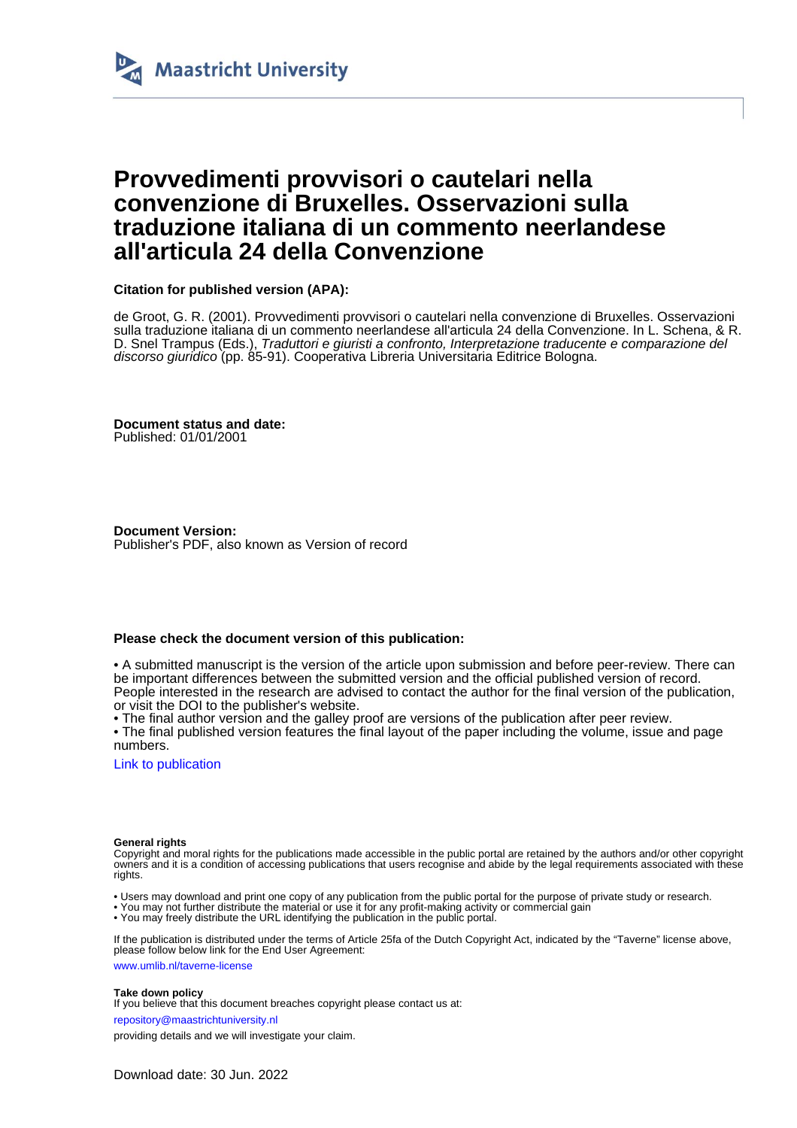

# **Provvedimenti provvisori o cautelari nella convenzione di Bruxelles. Osservazioni sulla traduzione italiana di un commento neerlandese all'articula 24 della Convenzione**

### **Citation for published version (APA):**

de Groot, G. R. (2001). Provvedimenti provvisori o cautelari nella convenzione di Bruxelles. Osservazioni sulla traduzione italiana di un commento neerlandese all'articula 24 della Convenzione. In L. Schena, & R. D. Snel Trampus (Eds.), Traduttori e giuristi a confronto, Interpretazione traducente e comparazione del discorso giuridico (pp. 85-91). Cooperativa Libreria Universitaria Editrice Bologna.

**Document status and date:** Published: 01/01/2001

**Document Version:** Publisher's PDF, also known as Version of record

### **Please check the document version of this publication:**

• A submitted manuscript is the version of the article upon submission and before peer-review. There can be important differences between the submitted version and the official published version of record. People interested in the research are advised to contact the author for the final version of the publication, or visit the DOI to the publisher's website.

• The final author version and the galley proof are versions of the publication after peer review.

• The final published version features the final layout of the paper including the volume, issue and page numbers.

[Link to publication](https://cris.maastrichtuniversity.nl/en/publications/c4492d12-946a-4568-93b7-5bb1892ebe73)

#### **General rights**

Copyright and moral rights for the publications made accessible in the public portal are retained by the authors and/or other copyright owners and it is a condition of accessing publications that users recognise and abide by the legal requirements associated with these rights.

• Users may download and print one copy of any publication from the public portal for the purpose of private study or research.

• You may not further distribute the material or use it for any profit-making activity or commercial gain

• You may freely distribute the URL identifying the publication in the public portal.

If the publication is distributed under the terms of Article 25fa of the Dutch Copyright Act, indicated by the "Taverne" license above, please follow below link for the End User Agreement:

www.umlib.nl/taverne-license

#### **Take down policy**

If you believe that this document breaches copyright please contact us at:

repository@maastrichtuniversity.nl

providing details and we will investigate your claim.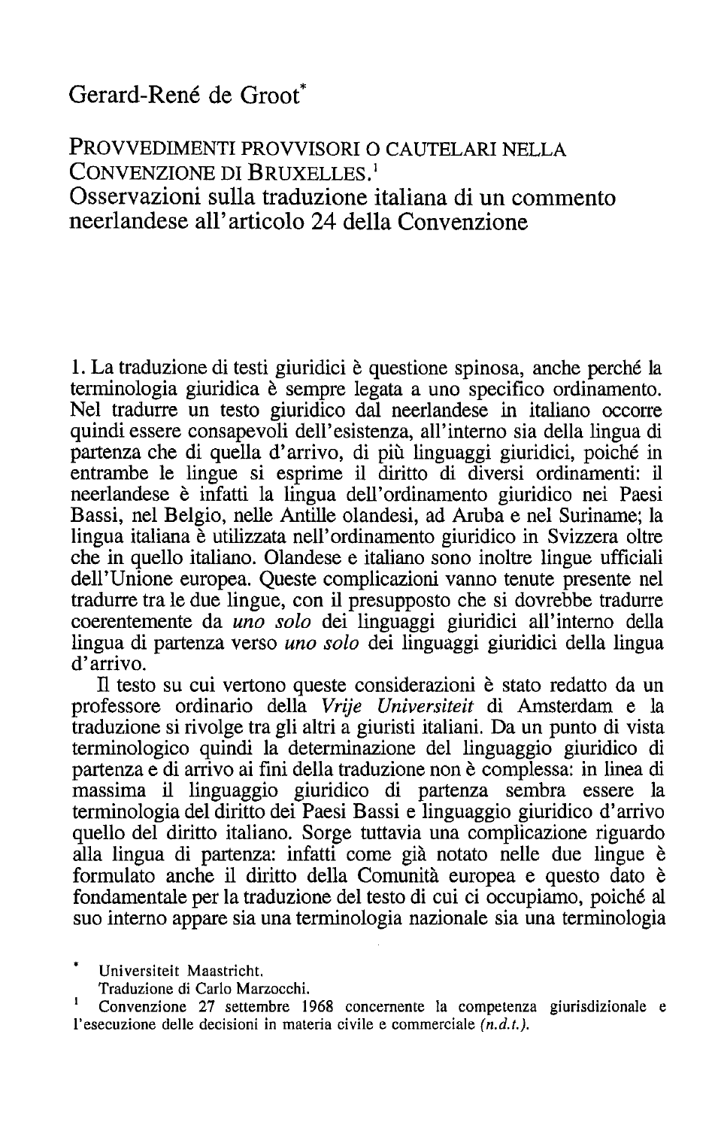# Gerard-René de Groot\*

## PROVVEDIMENTI PROVVISORI O CAUTELARI NELLA CONVENZIONE DI BRUXELLES.<sup>1</sup> Osservazioni sulla traduzione italiana di un commento neerlandese all'articolo 24 della Convenzione

1. La traduzione di testi giuridici è questione spinosa, anche perché la terminologia giuridica è sempre legata a uno specifico ordinamento. Nel tradurre un testo giuridico dal neerlandese in italiano occorre quindi essere consapevoli dell'esistenza, all'interno sia della lingua di partenza che di quella d'arrivo, di più linguaggi giuridici, poiché in entrambe le lingue si esprime il diritto di diversi ordinamenti: il neerlandese è infatti la lingua dell'ordinamento giuridico nei Paesi Bassi, nel Belgio, nelle Antille olandesi, ad Aruba e nel Suriname: la lingua italiana è utilizzata nell'ordinamento giuridico in Svizzera oltre che in quello italiano. Olandese e italiano sono inoltre lingue ufficiali dell'Unione europea. Queste complicazioni vanno tenute presente nel tradurre tra le due lingue, con il presupposto che si dovrebbe tradurre coerentemente da *uno solo* dei linguaggi giuridici all'interno della lingua di partenza verso *uno solo* dei linguaggi giuridici della lingua  $d'$ arrivo.

Il testo su cui vertono queste considerazioni è stato redatto da un professore ordinario della Vrije Universiteit di Amsterdam e la traduzione si rivolge tra gli altri a giuristi italiani. Da un punto di vista terminologico quindi la determinazione del linguaggio giuridico di partenza e di arrivo ai fini della traduzione non è complessa: in linea di massima il linguaggio giuridico di partenza sembra essere la terminologia del diritto dei Paesi Bassi e linguaggio giuridico d'arrivo quello del diritto italiano. Sorge tuttavia una complicazione riguardo alla lingua di partenza: infatti come già notato nelle due lingue è formulato anche il diritto della Comunità europea e questo dato è fondamentale per la traduzione del testo di cui ci occupiamo, poiché al suo interno appare sia una terminologia nazionale sia una terminologia

Universiteit Maastricht.

Traduzione di Carlo Marzocchi.

Convenzione 27 settembre 1968 concernente la competenza giurisdizionale e l'esecuzione delle decisioni in materia civile e commerciale  $(n,d,t)$ .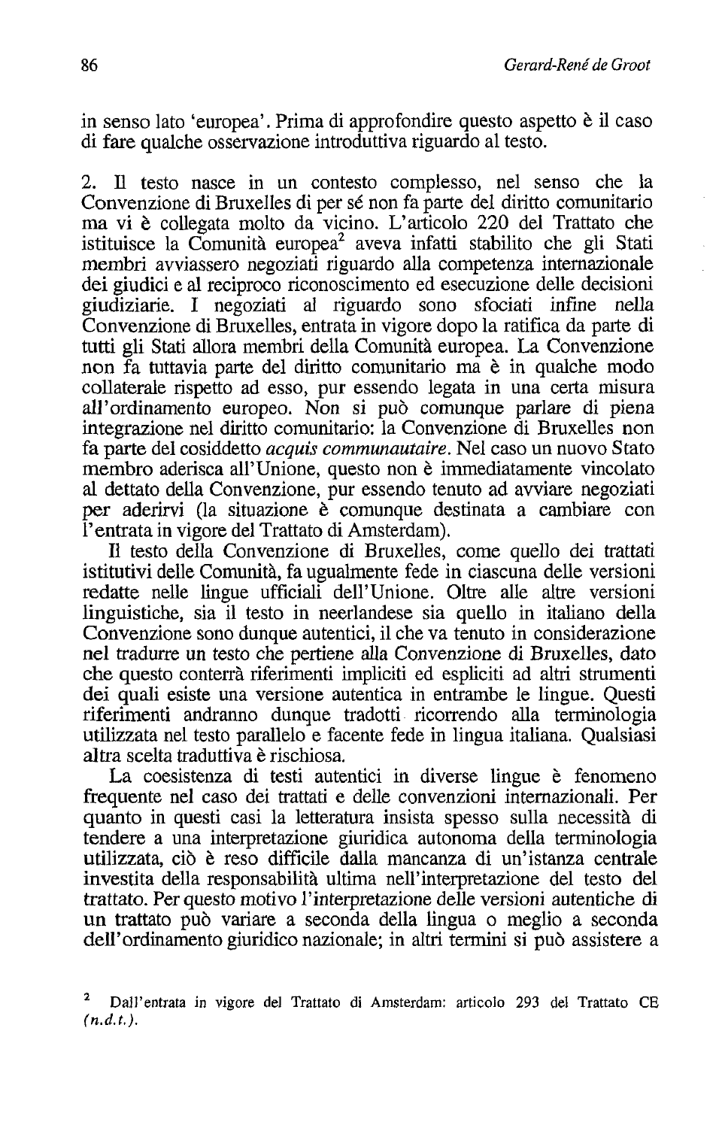in senso lato 'europea'. Prima di approfondire questo aspetto è il caso di fare qualche osservazione introduttiva riguardo al testo.

2. Il testo nasce in un contesto complesso, nel senso che la Convenzione di Bruxelles di per sé non fa parte del diritto comunitario ma vi è collegata molto da vicino. L'articolo 220 del Trattato che istituisce la Comunità europea<sup>2</sup> aveva infatti stabilito che gli Stati membri avviassero negoziati riguardo alla competenza internazionale dei giudici e al reciproco riconoscimento ed esecuzione delle decisioni giudiziarie. I negoziati al riguardo sono sfociati infine nella Convenzione di Bruxelles, entrata in vigore dopo la ratifica da parte di tutti gli Stati allora membri della Comunità europea. La Convenzione non fa tuttavia parte del diritto comunitario ma è in qualche modo collaterale rispetto ad esso, pur essendo legata in una certa misura all'ordinamento europeo. Non si può comunque parlare di piena integrazione nel diritto comunitario: la Convenzione di Bruxelles non fa parte del cosiddetto *acquis communautaire*. Nel caso un nuovo Stato membro aderisca all'Unione, questo non è immediatamente vincolato al dettato della Convenzione, pur essendo tenuto ad avviare negoziati per aderirvi (la situazione è comunque destinata a cambiare con l'entrata in vigore del Trattato di Amsterdam).

Il testo della Convenzione di Bruxelles, come quello dei trattati istitutivi delle Comunità, fa ugualmente fede in ciascuna delle versioni redatte nelle lingue ufficiali dell'Unione. Oltre alle altre versioni linguistiche, sia il testo in neerlandese sia quello in italiano della Convenzione sono dunque autentici, il che va tenuto in considerazione nel tradurre un testo che pertiene alla Convenzione di Bruxelles, dato che questo conterrà riferimenti impliciti ed espliciti ad altri strumenti dei quali esiste una versione autentica in entrambe le lingue. Questi riferimenti andranno dunque tradotti ricorrendo alla terminologia utilizzata nel testo parallelo e facente fede in lingua italiana. Qualsiasi altra scelta traduttiva è rischiosa.

La coesistenza di testi autentici in diverse lingue è fenomeno frequente nel caso dei trattati e delle convenzioni internazionali. Per quanto in questi casi la letteratura insista spesso sulla necessità di tendere a una interpretazione giuridica autonoma della terminologia utilizzata, ciò è reso difficile dalla mancanza di un'istanza centrale investita della responsabilità ultima nell'interpretazione del testo del trattato. Per questo motivo l'interpretazione delle versioni autentiche di un trattato può variare a seconda della lingua o meglio a seconda dell'ordinamento giuridico nazionale; in altri termini si può assistere a

Dall'entrata in vigore del Trattato di Amsterdam: articolo 293 del Trattato CE  $(n,d,t)$ .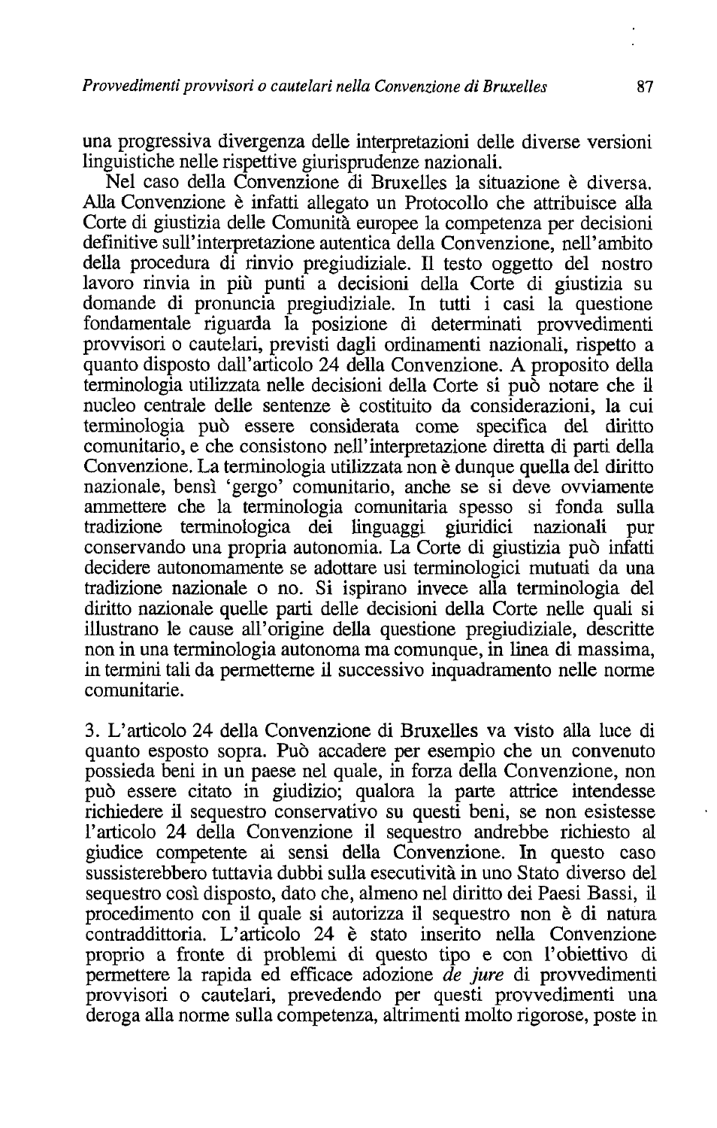una progressiva divergenza delle interpretazioni delle diverse versioni linguistiche nelle rispettive giurisprudenze nazionali.

Nel caso della Convenzione di Bruxelles la situazione è diversa. Alla Convenzione è infatti allegato un Protocollo che attribuisce alla Corte di giustizia delle Comunità europee la competenza per decisioni definitive sull'interpretazione autentica della Convenzione, nell'ambito della procedura di rinvio pregiudiziale. Il testo oggetto del nostro lavoro rinvia in più punti a decisioni della Corte di giustizia su domande di pronuncia pregiudiziale. In tutti i casi la questione fondamentale riguarda la posizione di determinati provvedimenti provvisori o cautelari, previsti dagli ordinamenti nazionali, rispetto a quanto disposto dall'articolo 24 della Convenzione. A proposito della terminologia utilizzata nelle decisioni della Corte si può notare che il nucleo centrale delle sentenze è costituito da considerazioni, la cui terminologia può essere considerata come specifica del diritto comunitario, e che consistono nell'interpretazione diretta di parti della Convenzione. La terminologia utilizzata non è dunque quella del diritto nazionale, bensì 'gergo' comunitario, anche se si deve ovviamente ammettere che la terminologia comunitaria spesso si fonda sulla tradizione terminologica dei linguaggi giuridici nazionali pur conservando una propria autonomia. La Corte di giustizia può infatti decidere autonomamente se adottare usi terminologici mutuati da una tradizione nazionale o no. Si ispirano invece alla terminologia del diritto nazionale quelle parti delle decisioni della Corte nelle quali si illustrano le cause all'origine della questione pregiudiziale, descritte non in una terminologia autonoma ma comunque, in linea di massima, in termini tali da permetterne il successivo inquadramento nelle norme comunitarie.

3. L'articolo 24 della Convenzione di Bruxelles va visto alla luce di quanto esposto sopra. Può accadere per esempio che un convenuto possieda beni in un paese nel quale, in forza della Convenzione, non può essere citato in giudizio; qualora la parte attrice intendesse richiedere il sequestro conservativo su questi beni, se non esistesse l'articolo 24 della Convenzione il sequestro andrebbe richiesto al giudice competente ai sensi della Convenzione. In questo caso sussisterebbero tuttavia dubbi sulla esecutività in uno Stato diverso del sequestro così disposto, dato che, almeno nel diritto dei Paesi Bassi, il procedimento con il quale si autorizza il sequestro non è di natura contraddittoria. L'articolo 24 è stato inserito nella Convenzione proprio a fronte di problemi di questo tipo e con l'obiettivo di permettere la rapida ed efficace adozione de jure di provvedimenti provvisori o cautelari, prevedendo per questi provvedimenti una deroga alla norme sulla competenza, altrimenti molto rigorose, poste in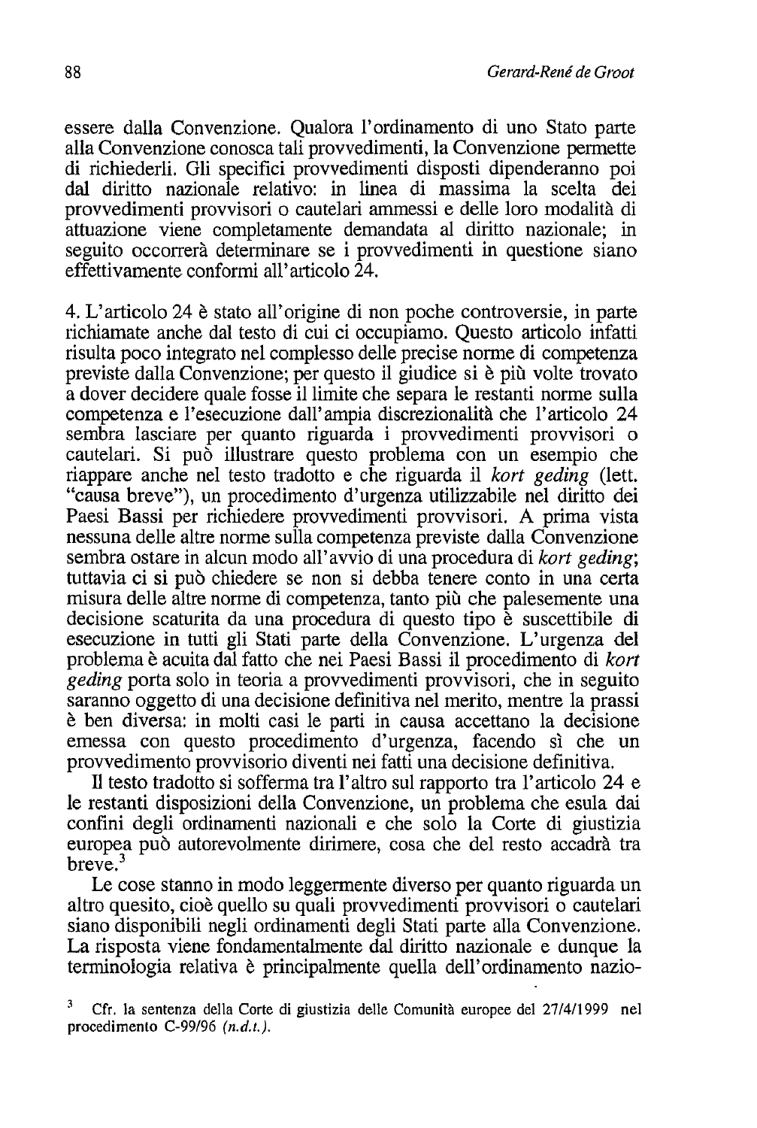essere dalla Convenzione. Qualora l'ordinamento di uno Stato parte alla Convenzione conosca tali provvedimenti, la Convenzione permette di richiederli. Gli specifici provvedimenti disposti dipenderanno poi dal diritto nazionale relativo: in linea di massima la scelta dei provvedimenti provvisori o cautelari ammessi e delle loro modalità di attuazione viene completamente demandata al diritto nazionale; in seguito occorrerà determinare se i provvedimenti in questione siano effettivamente conformi all'articolo  $24$ .

4. L'articolo 24 è stato all'origine di non poche controversie, in parte richiamate anche dal testo di cui ci occupiamo. Questo articolo infatti risulta poco integrato nel complesso delle precise norme di competenza previste dalla Convenzione; per questo il giudice si è più volte trovato a dover decidere quale fosse il limite che separa le restanti norme sulla competenza e l'esecuzione dall'ampia discrezionalità che l'articolo 24 sembra lasciare per quanto riguarda i provvedimenti provvisori o cautelari. Si può illustrare questo problema con un esempio che riappare anche nel testo tradotto e che riguarda il kort geding (lett. "causa breve"), un procedimento d'urgenza utilizzabile nel diritto dei Paesi Bassi per richiedere provvedimenti provvisori. A prima vista nessuna delle altre norme sulla competenza previste dalla Convenzione sembra ostare in alcun modo all'avvio di una procedura di kort geding; tuttavia ci si può chiedere se non si debba tenere conto in una certa misura delle altre norme di competenza, tanto più che palesemente una decisione scaturita da una procedura di questo tipo è suscettibile di esecuzione in tutti gli Stati parte della Convenzione. L'urgenza del problema è acuita dal fatto che nei Paesi Bassi il procedimento di *kort geding* porta solo in teoria a provvedimenti provvisori, che in seguito saranno oggetto di una decisione definitiva nel merito, mentre la prassi è ben diversa: in molti casi le parti in causa accettano la decisione emessa con questo procedimento d'urgenza, facendo sì che un provvedimento provvisorio diventi nei fatti una decisione definitiva.

Il testo tradotto si sofferma tra l'altro sul rapporto tra l'articolo 24 e le restanti disposizioni della Convenzione, un problema che esula dai confini degli ordinamenti nazionali e che solo la Corte di giustizia europea può autorevolmente dirimere, cosa che del resto accadrà tra  $here<sup>3</sup>$ 

Le cose stanno in modo leggermente diverso per quanto riguarda un altro quesito, cioè quello su quali provvedimenti provvisori o cautelari siano disponibili negli ordinamenti degli Stati parte alla Convenzione. La risposta viene fondamentalmente dal diritto nazionale e dunque la terminologia relativa è principalmente quella dell'ordinamento nazio-

Cfr. la sentenza della Corte di giustizia delle Comunità europee del 27/4/1999 nel procedimento  $C-99/96$  (n.d.t.).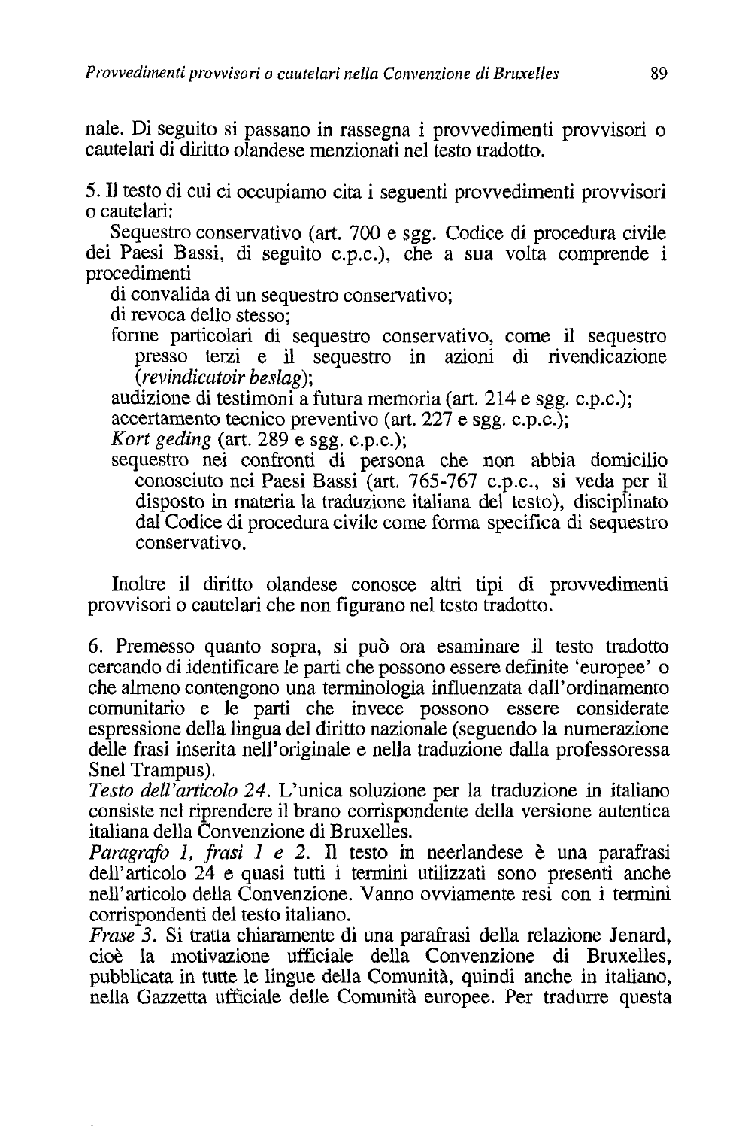nale. Di seguito si passano in rassegna i provvedimenti provvisori o cautelari di diritto olandese menzionati nel testo tradotto.

5. Il testo di cui ci occupiamo cita i seguenti provvedimenti provvisori o cautelari:

Sequestro conservativo (art. 700 e sgg. Codice di procedura civile dei Paesi Bassi, di seguito c.p.c.), che a sua volta comprende i procedimenti

di convalida di un sequestro conservativo;

di revoca dello stesso:

forme particolari di sequestro conservativo, come il sequestro presso terzi e il sequestro in azioni di rivendicazione  $(revindicator \text{ } besla\mathbf{g});$ 

audizione di testimoni a futura memoria (art. 214 e sgg. c.p.c.);

accertamento tecnico preventivo (art. 227 e sgg. c.p.c.);

Kort geding (art.  $289$  e sgg. c.p.c.);

sequestro nei confronti di persona che non abbia domicilio conosciuto nei Paesi Bassi (art. 765-767 c.p.c., si veda per il disposto in materia la traduzione italiana del testo), disciplinato dal Codice di procedura civile come forma specifica di sequestro conservativo.

Inoltre il diritto olandese conosce altri tipi di provvedimenti provvisori o cautelari che non figurano nel testo tradotto.

6. Premesso quanto sopra, si può ora esaminare il testo tradotto cercando di identificare le parti che possono essere definite 'europee' o che almeno contengono una terminologia influenzata dall'ordinamento comunitario e le parti che invece possono essere considerate espressione della lingua del diritto nazionale (seguendo la numerazione delle frasi inserita nell'originale e nella traduzione dalla professoressa Snel Trampus).

Testo dell'articolo 24. L'unica soluzione per la traduzione in italiano consiste nel riprendere il brano corrispondente della versione autentica italiana della Convenzione di Bruxelles.

Paragrafo 1, frasi 1 e 2. Il testo in neerlandese è una parafrasi dell'articolo 24 e quasi tutti i termini utilizzati sono presenti anche nell'articolo della Convenzione. Vanno ovviamente resi con i termini corrispondenti del testo italiano.

*Frase* 3. Si tratta chiaramente di una parafrasi della relazione Jenard, cioè la motivazione ufficiale della Convenzione di Bruxelles, pubblicata in tutte le lingue della Comunità, quindi anche in italiano, nella Gazzetta ufficiale delle Comunità europee. Per tradurre questa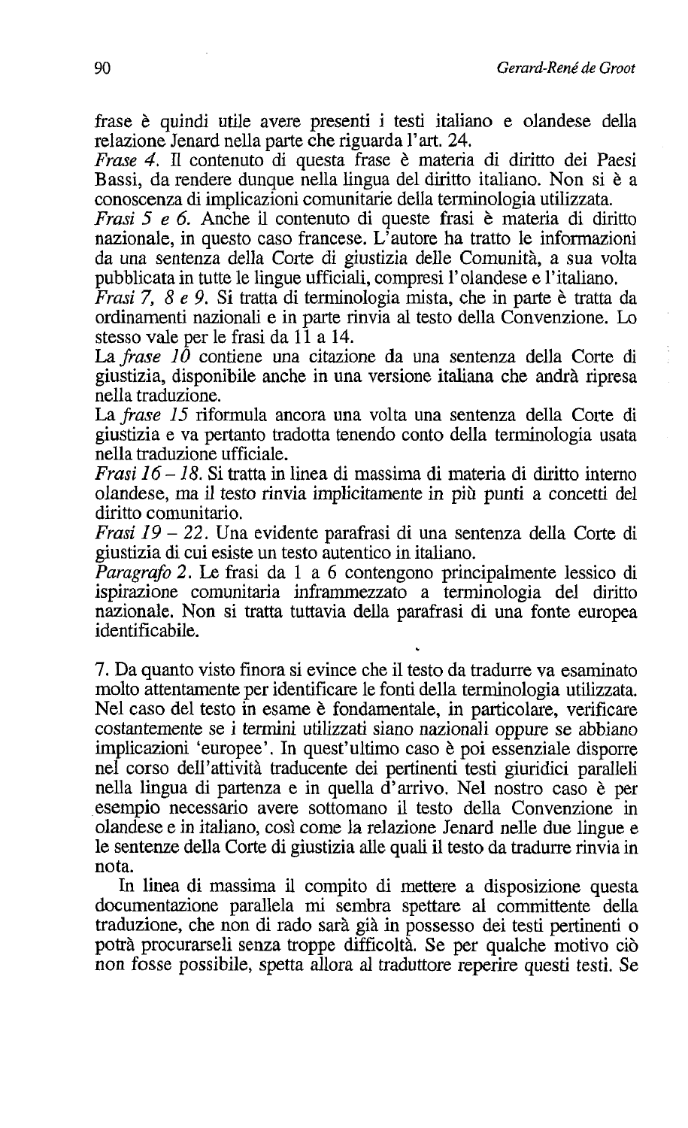frase è quindi utile avere presenti i testi italiano e olandese della relazione Jenard nella parte che riguarda l'art. 24.

*Frase 4.* Il contenuto di questa frase è materia di diritto dei Paesi Bassi, da rendere dunque nella lingua del diritto italiano. Non si è a conoscenza di implicazioni comunitarie della terminologia utilizzata.

*Frasi* 5 e 6. Anche il contenuto di queste frasi è materia di diritto nazionale, in questo caso francese. L'autore ha tratto le informazioni da una sentenza della Corte di giustizia delle Comunità, a sua volta pubblicata in tutte le lingue ufficiali, compresi l'olandese e l'italiano.

*Frasi* 7, 8 e 9. Si tratta di terminologia mista, che in parte è tratta da ordinamenti nazionali e in parte rinvia al testo della Convenzione. Lo stesso vale per le frasi da 11 a 14.

La frase 10 contiene una citazione da una sentenza della Corte di giustizia, disponibile anche in una versione italiana che andrà ripresa nella traduzione.

La frase 15 riformula ancora una volta una sentenza della Corte di giustizia e va pertanto tradotta tenendo conto della terminologia usata nella traduzione ufficiale.

*Frasi* 16 – 18. Si tratta in linea di massima di materia di diritto interno olandese, ma il testo rinvia implicitamente in più punti a concetti del diritto comunitario.

Frasi 19 - 22. Una evidente parafrasi di una sentenza della Corte di giustizia di cui esiste un testo autentico in italiano.

*Paragrafo* 2. Le frasi da 1 a 6 contengono principalmente lessico di ispirazione comunitaria inframmezzato a terminologia del diritto nazionale. Non si tratta tuttavia della parafrasi di una fonte europea identificabile.

7. Da quanto visto finora si evince che il testo da tradurre va esaminato molto attentamente per identificare le fonti della terminologia utilizzata. Nel caso del testo in esame è fondamentale, in particolare, verificare costantemente se i termini utilizzati siano nazionali oppure se abbiano implicazioni 'europee'. In quest'ultimo caso è poi essenziale disporre nel corso dell'attività traducente dei pertinenti testi giuridici paralleli nella lingua di partenza e in quella d'arrivo. Nel nostro caso è per esempio necessario avere sottomano il testo della Convenzione in olandese e in italiano, così come la relazione Jenard nelle due lingue e le sentenze della Corte di giustizia alle quali il testo da tradurre rinvia in nota.

In linea di massima il compito di mettere a disposizione questa documentazione parallela mi sembra spettare al committente della traduzione, che non di rado sarà già in possesso dei testi pertinenti o potrà procurarseli senza troppe difficoltà. Se per qualche motivo ciò non fosse possibile, spetta allora al traduttore reperire questi testi. Se